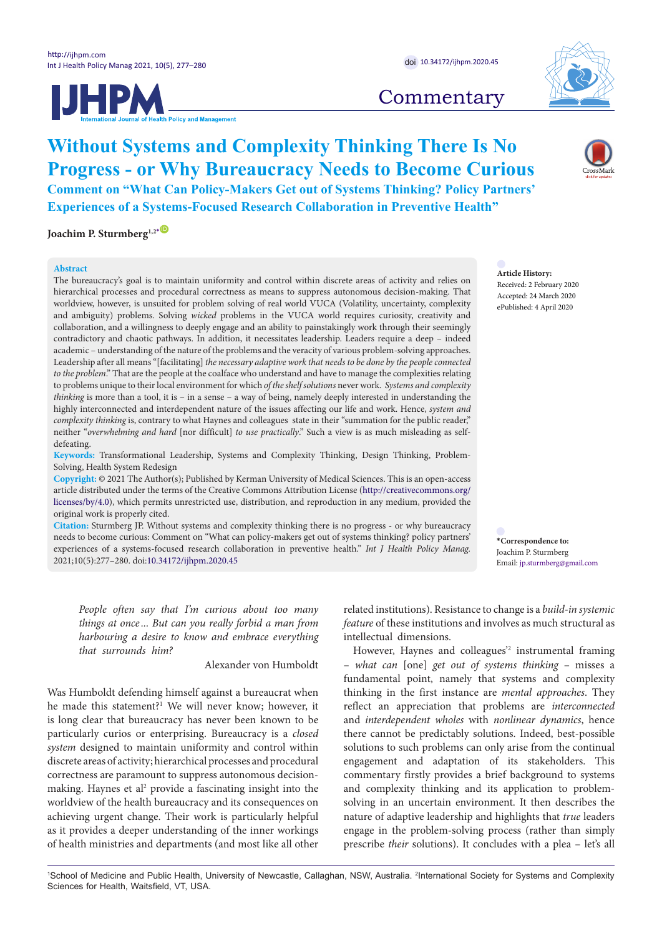



# **Commentary**

# **Without Systems and Complexity Thinking There Is No Progress - or Why Bureaucracy Needs to Become Curious Comment on "What Can Policy-Makers Get out of Systems Thinking? Policy Partners' Experiences of a Systems-Focused Research Collaboration in Preventive Health"**

**Joachim P. Sturmberg<sup>1,2</sub>**</sup>

### **Abstract**

The bureaucracy's goal is to maintain uniformity and control within discrete areas of activity and relies on hierarchical processes and procedural correctness as means to suppress autonomous decision-making. That worldview, however, is unsuited for problem solving of real world VUCA (Volatility, uncertainty, complexity and ambiguity) problems. Solving *wicked* problems in the VUCA world requires curiosity, creativity and collaboration, and a willingness to deeply engage and an ability to painstakingly work through their seemingly contradictory and chaotic pathways. In addition, it necessitates leadership. Leaders require a deep – indeed academic – understanding of the nature of the problems and the veracity of various problem-solving approaches. Leadership after all means "[facilitating] *the necessary adaptive work that needs to be done by the people connected to the problem*." That are the people at the coalface who understand and have to manage the complexities relating to problems unique to their local environment for which *of the shelf solutions* never work. *Systems and complexity thinking* is more than a tool, it is – in a sense – a way of being, namely deeply interested in understanding the highly interconnected and interdependent nature of the issues affecting our life and work. Hence, *system and complexity thinking* is, contrary to what Haynes and colleagues state in their "summation for the public reader," neither "*overwhelming and hard* [nor difficult] *to use practically*." Such a view is as much misleading as selfdefeating.

**Keywords:** Transformational Leadership, Systems and Complexity Thinking, Design Thinking, Problem-Solving, Health System Redesign

**Copyright:** © 2021 The Author(s); Published by Kerman University of Medical Sciences. This is an open-access article distributed under the terms of the Creative Commons Attribution License [\(http://creativecommons.org/](http://creativecommons.org/licenses/by/4.0) [licenses/by/4.0](http://creativecommons.org/licenses/by/4.0)), which permits unrestricted use, distribution, and reproduction in any medium, provided the original work is properly cited.

**Citation:** Sturmberg JP. Without systems and complexity thinking there is no progress - or why bureaucracy needs to become curious: Comment on "What can policy-makers get out of systems thinking? policy partners' experiences of a systems-focused research collaboration in preventive health." *Int J Health Policy Manag.*  2021;10(5):277–280. doi[:10.34172/ijhpm.2020.45](https://doi.org/10.34172/ijhpm.2020.45)

*People often say that I'm curious about too many things at once ... But can you really forbid a man from harbouring a desire to know and embrace everything that surrounds him?*

Alexander von Humboldt

Was Humboldt defending himself against a bureaucrat when he made this statement?<sup>1</sup> We will never know; however, it is long clear that bureaucracy has never been known to be particularly curios or enterprising. Bureaucracy is a *closed system* designed to maintain uniformity and control within discrete areas of activity; hierarchical processes and procedural correctness are paramount to suppress autonomous decisionmaking. Haynes et al<sup>2</sup> provide a fascinating insight into the worldview of the health bureaucracy and its consequences on achieving urgent change. Their work is particularly helpful as it provides a deeper understanding of the inner workings of health ministries and departments (and most like all other

related institutions). Resistance to change is a *build-in systemic feature* of these institutions and involves as much structural as intellectual dimensions.

However, Haynes and colleagues<sup>22</sup> instrumental framing – *what can* [one] *get out of systems thinking* – misses a fundamental point, namely that systems and complexity thinking in the first instance are *mental approaches*. They reflect an appreciation that problems are *interconnected* and *interdependent wholes* with *nonlinear dynamics*, hence there cannot be predictably solutions. Indeed, best-possible solutions to such problems can only arise from the continual engagement and adaptation of its stakeholders. This commentary firstly provides a brief background to systems and complexity thinking and its application to problemsolving in an uncertain environment. It then describes the nature of adaptive leadership and highlights that *true* leaders engage in the problem-solving process (rather than simply prescribe *their* solutions). It concludes with a plea – let's all

**Article History:**

Received: 2 February 2020 Accepted: 24 March 2020 ePublished: 4 April 2020

<span id="page-0-0"></span>**\*Correspondence to:** Joachim P. Sturmberg Email: jp.sturmberg@gmail.com

<sup>1</sup>School of Medicine and Public Health, University of Newcastle, Callaghan, NSW, Australia. <sup>2</sup>International Society for Systems and Complexity Sciences for Health, Waitsfield, VT, USA.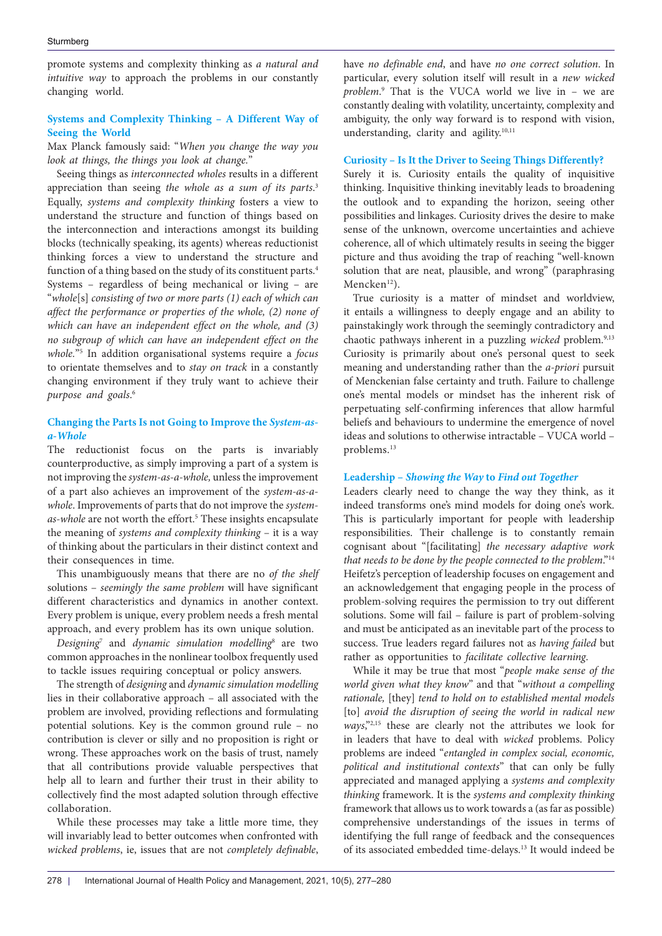promote systems and complexity thinking as *a natural and intuitive way* to approach the problems in our constantly changing world.

## **Systems and Complexity Thinking – A Different Way of Seeing the World**

Max Planck famously said: "*When you change the way you look at things, the things you look at change.*"

Seeing things as *interconnected wholes* results in a different appreciation than seeing *the whole as a sum of its parts*. 3 Equally, *systems and complexity thinking* fosters a view to understand the structure and function of things based on the interconnection and interactions amongst its building blocks (technically speaking, its agents) whereas reductionist thinking forces a view to understand the structure and function of a thing based on the study of its constituent parts.<sup>4</sup> Systems – regardless of being mechanical or living – are "*whole*[s] *consisting of two or more parts (1) each of which can affect the performance or properties of the whole, (2) none of which can have an independent effect on the whole, and (3) no subgroup of which can have an independent effect on the whole.*"5 In addition organisational systems require a *focus* to orientate themselves and to *stay on track* in a constantly changing environment if they truly want to achieve their *purpose and goals*. 6

## **Changing the Parts Is not Going to Improve the** *System-asa-Whole*

The reductionist focus on the parts is invariably counterproductive, as simply improving a part of a system is not improving the *system-as-a-whole,* unless the improvement of a part also achieves an improvement of the *system-as-awhole*. Improvements of parts that do not improve the *system*as-whole are not worth the effort.<sup>5</sup> These insights encapsulate the meaning of *systems and complexity thinking* – it is a way of thinking about the particulars in their distinct context and their consequences in time.

This unambiguously means that there are no *of the shelf* solutions – *seemingly the same problem* will have significant different characteristics and dynamics in another context. Every problem is unique, every problem needs a fresh mental approach, and every problem has its own unique solution.

*Designing*<sup>7</sup> and *dynamic simulation modelling*<sup>8</sup> are two common approaches in the nonlinear toolbox frequently used to tackle issues requiring conceptual or policy answers.

The strength of *designing* and *dynamic simulation modelling*  lies in their collaborative approach – all associated with the problem are involved, providing reflections and formulating potential solutions. Key is the common ground rule – no contribution is clever or silly and no proposition is right or wrong. These approaches work on the basis of trust, namely that all contributions provide valuable perspectives that help all to learn and further their trust in their ability to collectively find the most adapted solution through effective collaboration.

While these processes may take a little more time, they will invariably lead to better outcomes when confronted with *wicked problems*, ie, issues that are not *completely definable*, have *no definable end*, and have *no one correct solution*. In particular, every solution itself will result in a *new wicked problem*. 9 That is the VUCA world we live in – we are constantly dealing with volatility, uncertainty, complexity and ambiguity, the only way forward is to respond with vision, understanding, clarity and agility.<sup>10,11</sup>

## **Curiosity – Is It the Driver to Seeing Things Differently?**

Surely it is. Curiosity entails the quality of inquisitive thinking. Inquisitive thinking inevitably leads to broadening the outlook and to expanding the horizon, seeing other possibilities and linkages. Curiosity drives the desire to make sense of the unknown, overcome uncertainties and achieve coherence, all of which ultimately results in seeing the bigger picture and thus avoiding the trap of reaching "well-known solution that are neat, plausible, and wrong" (paraphrasing Mencken<sup>12</sup>).

True curiosity is a matter of mindset and worldview, it entails a willingness to deeply engage and an ability to painstakingly work through the seemingly contradictory and chaotic pathways inherent in a puzzling *wicked* problem.<sup>9,13</sup> Curiosity is primarily about one's personal quest to seek meaning and understanding rather than the *a-priori* pursuit of Menckenian false certainty and truth. Failure to challenge one's mental models or mindset has the inherent risk of perpetuating self-confirming inferences that allow harmful beliefs and behaviours to undermine the emergence of novel ideas and solutions to otherwise intractable – VUCA world – problems.13

## **Leadership –** *Showing the Way* **to** *Find out Together*

Leaders clearly need to change the way they think, as it indeed transforms one's mind models for doing one's work. This is particularly important for people with leadership responsibilities. Their challenge is to constantly remain cognisant about "[facilitating] *the necessary adaptive work that needs to be done by the people connected to the problem*."14 Heifetz's perception of leadership focuses on engagement and an acknowledgement that engaging people in the process of problem-solving requires the permission to try out different solutions. Some will fail – failure is part of problem-solving and must be anticipated as an inevitable part of the process to success. True leaders regard failures not as *having failed* but rather as opportunities to *facilitate collective learning*.

While it may be true that most "*people make sense of the world given what they know*" and that "*without a compelling rationale,* [they] *tend to hold on to established mental models* [to] *avoid the disruption of seeing the world in radical new ways*,"2,15 these are clearly not the attributes we look for in leaders that have to deal with *wicked* problems. Policy problems are indeed "*entangled in complex social, economic, political and institutional contexts*" that can only be fully appreciated and managed applying a *systems and complexity thinking* framework. It is the *systems and complexity thinking* framework that allows us to work towards a (as far as possible) comprehensive understandings of the issues in terms of identifying the full range of feedback and the consequences of its associated embedded time-delays.13 It would indeed be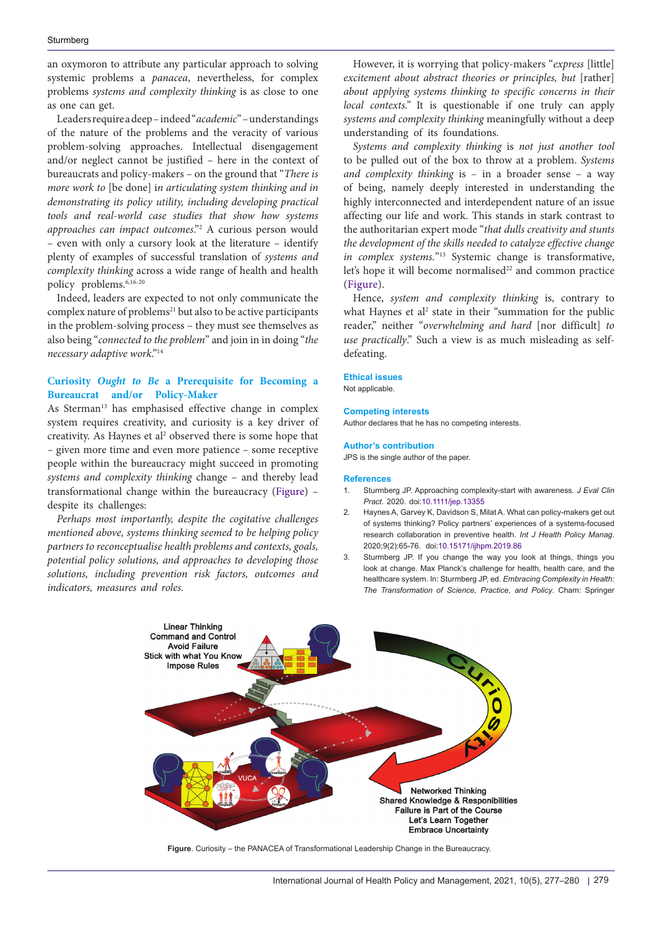an oxymoron to attribute any particular approach to solving systemic problems a *panacea*, nevertheless, for complex problems *systems and complexity thinking* is as close to one as one can get.

Leaders require a deep – indeed "*academic*" – understandings of the nature of the problems and the veracity of various problem-solving approaches. Intellectual disengagement and/or neglect cannot be justified – here in the context of bureaucrats and policy-makers – on the ground that "*There is more work to* [be done] i*n articulating system thinking and in demonstrating its policy utility, including developing practical tools and real-world case studies that show how systems approaches can impact outcomes*."2 A curious person would – even with only a cursory look at the literature – identify plenty of examples of successful translation of *systems and complexity thinking* across a wide range of health and health policy problems.<sup>6,16-20</sup>

Indeed, leaders are expected to not only communicate the complex nature of problems<sup>21</sup> but also to be active participants in the problem-solving process – they must see themselves as also being "*connected to the problem*" and join in in doing "*the necessary adaptive work*."14

## **Curiosity** *Ought to Be* **a Prerequisite for Becoming a Bureaucrat and/or Policy-Maker**

As Sterman<sup>13</sup> has emphasised effective change in complex system requires creativity, and curiosity is a key driver of creativity. As Haynes et al<sup>2</sup> observed there is some hope that – given more time and even more patience – some receptive people within the bureaucracy might succeed in promoting *systems and complexity thinking* change – and thereby lead transformational change within the bureaucracy [\(Figure\)](#page-2-0) – despite its challenges:

*Perhaps most importantly, despite the cogitative challenges mentioned above, systems thinking seemed to be helping policy partners to reconceptualise health problems and contexts, goals, potential policy solutions, and approaches to developing those solutions, including prevention risk factors, outcomes and indicators, measures and roles.*

However, it is worrying that policy-makers "*express* [little] *excitement about abstract theories or principles, but* [rather] *about applying systems thinking to specific concerns in their local contexts."* It is questionable if one truly can apply *systems and complexity thinking* meaningfully without a deep understanding of its foundations.

*Systems and complexity thinking* is *not just another tool* to be pulled out of the box to throw at a problem. *Systems and complexity thinking* is – in a broader sense – a way of being, namely deeply interested in understanding the highly interconnected and interdependent nature of an issue affecting our life and work. This stands in stark contrast to the authoritarian expert mode "*that dulls creativity and stunts the development of the skills needed to catalyze effective change in complex systems.*"13 Systemic change is transformative, let's hope it will become normalised<sup>22</sup> and common practice ([Figure\)](#page-2-0).

Hence, *system and complexity thinking* is, contrary to what Haynes et al<sup>2</sup> state in their "summation for the public reader," neither "*overwhelming and hard* [nor difficult] *to use practically*." Such a view is as much misleading as selfdefeating.

**Ethical issues** Not applicable.

#### **Competing interests**

Author declares that he has no competing interests.

#### **Author's contribution**

JPS is the single author of the paper.

### **References**

- 1. Sturmberg JP. Approaching complexity-start with awareness*. J Eval Clin Pract*. 2020. doi[:10.1111/jep.13355](https://doi.org/10.1111/jep.13355)
- 2. Haynes A, Garvey K, Davidson S, Milat A. What can policy-makers get out of systems thinking? Policy partners' experiences of a systems-focused research collaboration in preventive health. *Int J Health Policy Manag*. 2020;9(2):65-76. doi[:10.15171/ijhpm.2019.86](https://doi.org/10.15171/ijhpm.2019.86)
- <span id="page-2-0"></span>3. Sturmberg JP. If you change the way you look at things, things you look at change. Max Planck's challenge for health, health care, and the healthcare system. In: Sturmberg JP, ed. *Embracing Complexity in Health: The Transformation of Science, Practice, and Policy*. Cham: Springer



**Figure**. Curiosity – the PANACEA of Transformational Leadership Change in the Bureaucracy.